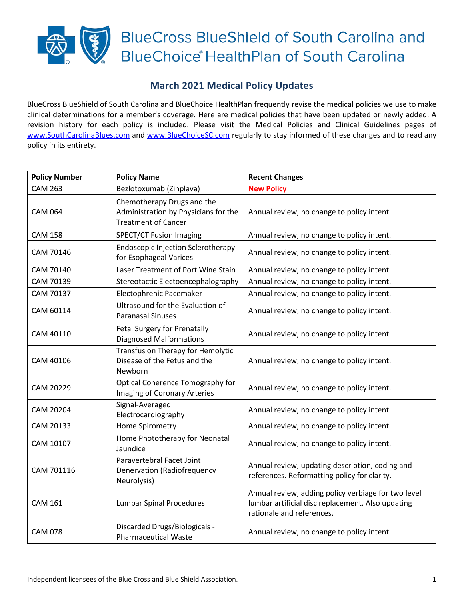## **BlueCross BlueShield of South Carolina and BlueChoice HealthPlan of South Carolina**

## **March 2021 Medical Policy Updates**

BlueCross BlueShield of South Carolina and BlueChoice HealthPlan frequently revise the medical policies we use to make clinical determinations for a member's coverage. Here are medical policies that have been updated or newly added. A revision history for each policy is included. Please visit the Medical Policies and Clinical Guidelines pages of [www.SouthCarolinaBlues.com](http://www.southcarolinablues.com/) and [www.BlueChoiceSC.com](http://www.bluechoicesc.com/) regularly to stay informed of these changes and to read any policy in its entirety.

| <b>Policy Number</b> | <b>Policy Name</b>                                                                               | <b>Recent Changes</b>                                                                                                                 |
|----------------------|--------------------------------------------------------------------------------------------------|---------------------------------------------------------------------------------------------------------------------------------------|
| <b>CAM 263</b>       | Bezlotoxumab (Zinplava)                                                                          | <b>New Policy</b>                                                                                                                     |
| <b>CAM 064</b>       | Chemotherapy Drugs and the<br>Administration by Physicians for the<br><b>Treatment of Cancer</b> | Annual review, no change to policy intent.                                                                                            |
| <b>CAM 158</b>       | <b>SPECT/CT Fusion Imaging</b>                                                                   | Annual review, no change to policy intent.                                                                                            |
| CAM 70146            | <b>Endoscopic Injection Sclerotherapy</b><br>for Esophageal Varices                              | Annual review, no change to policy intent.                                                                                            |
| CAM 70140            | Laser Treatment of Port Wine Stain                                                               | Annual review, no change to policy intent.                                                                                            |
| CAM 70139            | Stereotactic Electoencephalography                                                               | Annual review, no change to policy intent.                                                                                            |
| CAM 70137            | Electophrenic Pacemaker                                                                          | Annual review, no change to policy intent.                                                                                            |
| CAM 60114            | Ultrasound for the Evaluation of<br><b>Paranasal Sinuses</b>                                     | Annual review, no change to policy intent.                                                                                            |
| CAM 40110            | Fetal Surgery for Prenatally<br><b>Diagnosed Malformations</b>                                   | Annual review, no change to policy intent.                                                                                            |
| CAM 40106            | <b>Transfusion Therapy for Hemolytic</b><br>Disease of the Fetus and the<br>Newborn              | Annual review, no change to policy intent.                                                                                            |
| CAM 20229            | Optical Coherence Tomography for<br>Imaging of Coronary Arteries                                 | Annual review, no change to policy intent.                                                                                            |
| CAM 20204            | Signal-Averaged<br>Electrocardiography                                                           | Annual review, no change to policy intent.                                                                                            |
| CAM 20133            | Home Spirometry                                                                                  | Annual review, no change to policy intent.                                                                                            |
| CAM 10107            | Home Phototherapy for Neonatal<br>Jaundice                                                       | Annual review, no change to policy intent.                                                                                            |
| CAM 701116           | Paravertebral Facet Joint<br><b>Denervation (Radiofrequency</b><br>Neurolysis)                   | Annual review, updating description, coding and<br>references. Reformatting policy for clarity.                                       |
| <b>CAM 161</b>       | <b>Lumbar Spinal Procedures</b>                                                                  | Annual review, adding policy verbiage for two level<br>lumbar artificial disc replacement. Also updating<br>rationale and references. |
| <b>CAM 078</b>       | Discarded Drugs/Biologicals -<br><b>Pharmaceutical Waste</b>                                     | Annual review, no change to policy intent.                                                                                            |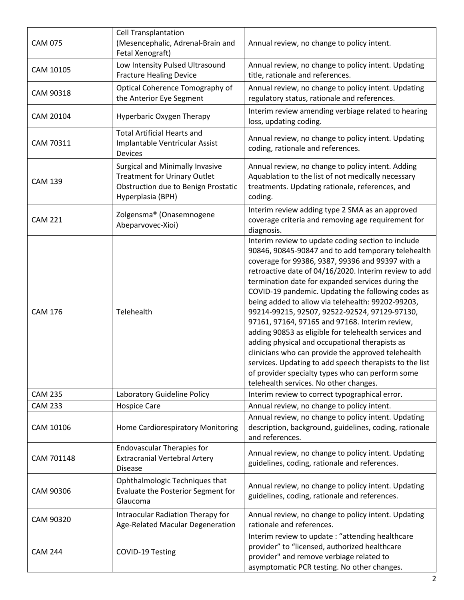| <b>CAM 075</b> | <b>Cell Transplantation</b><br>(Mesencephalic, Adrenal-Brain and<br>Fetal Xenograft)                                                      | Annual review, no change to policy intent.                                                                                                                                                                                                                                                                                                                                                                                                                                                                                                                                                                                                                                                                                                                                                                        |
|----------------|-------------------------------------------------------------------------------------------------------------------------------------------|-------------------------------------------------------------------------------------------------------------------------------------------------------------------------------------------------------------------------------------------------------------------------------------------------------------------------------------------------------------------------------------------------------------------------------------------------------------------------------------------------------------------------------------------------------------------------------------------------------------------------------------------------------------------------------------------------------------------------------------------------------------------------------------------------------------------|
| CAM 10105      | Low Intensity Pulsed Ultrasound<br><b>Fracture Healing Device</b>                                                                         | Annual review, no change to policy intent. Updating<br>title, rationale and references.                                                                                                                                                                                                                                                                                                                                                                                                                                                                                                                                                                                                                                                                                                                           |
| CAM 90318      | Optical Coherence Tomography of<br>the Anterior Eye Segment                                                                               | Annual review, no change to policy intent. Updating<br>regulatory status, rationale and references.                                                                                                                                                                                                                                                                                                                                                                                                                                                                                                                                                                                                                                                                                                               |
| CAM 20104      | Hyperbaric Oxygen Therapy                                                                                                                 | Interim review amending verbiage related to hearing<br>loss, updating coding.                                                                                                                                                                                                                                                                                                                                                                                                                                                                                                                                                                                                                                                                                                                                     |
| CAM 70311      | <b>Total Artificial Hearts and</b><br>Implantable Ventricular Assist<br>Devices                                                           | Annual review, no change to policy intent. Updating<br>coding, rationale and references.                                                                                                                                                                                                                                                                                                                                                                                                                                                                                                                                                                                                                                                                                                                          |
| <b>CAM 139</b> | <b>Surgical and Minimally Invasive</b><br><b>Treatment for Urinary Outlet</b><br>Obstruction due to Benign Prostatic<br>Hyperplasia (BPH) | Annual review, no change to policy intent. Adding<br>Aquablation to the list of not medically necessary<br>treatments. Updating rationale, references, and<br>coding.                                                                                                                                                                                                                                                                                                                                                                                                                                                                                                                                                                                                                                             |
| <b>CAM 221</b> | Zolgensma® (Onasemnogene<br>Abeparvovec-Xioi)                                                                                             | Interim review adding type 2 SMA as an approved<br>coverage criteria and removing age requirement for<br>diagnosis.                                                                                                                                                                                                                                                                                                                                                                                                                                                                                                                                                                                                                                                                                               |
| <b>CAM 176</b> | Telehealth                                                                                                                                | Interim review to update coding section to include<br>90846, 90845-90847 and to add temporary telehealth<br>coverage for 99386, 9387, 99396 and 99397 with a<br>retroactive date of 04/16/2020. Interim review to add<br>termination date for expanded services during the<br>COVID-19 pandemic. Updating the following codes as<br>being added to allow via telehealth: 99202-99203,<br>99214-99215, 92507, 92522-92524, 97129-97130,<br>97161, 97164, 97165 and 97168. Interim review,<br>adding 90853 as eligible for telehealth services and<br>adding physical and occupational therapists as<br>clinicians who can provide the approved telehealth<br>services. Updating to add speech therapists to the list<br>of provider specialty types who can perform some<br>telehealth services. No other changes. |
| <b>CAM 235</b> | Laboratory Guideline Policy                                                                                                               | Interim review to correct typographical error.                                                                                                                                                                                                                                                                                                                                                                                                                                                                                                                                                                                                                                                                                                                                                                    |
| <b>CAM 233</b> | <b>Hospice Care</b>                                                                                                                       | Annual review, no change to policy intent.                                                                                                                                                                                                                                                                                                                                                                                                                                                                                                                                                                                                                                                                                                                                                                        |
| CAM 10106      | Home Cardiorespiratory Monitoring                                                                                                         | Annual review, no change to policy intent. Updating<br>description, background, guidelines, coding, rationale<br>and references.                                                                                                                                                                                                                                                                                                                                                                                                                                                                                                                                                                                                                                                                                  |
| CAM 701148     | <b>Endovascular Therapies for</b><br><b>Extracranial Vertebral Artery</b><br><b>Disease</b>                                               | Annual review, no change to policy intent. Updating<br>guidelines, coding, rationale and references.                                                                                                                                                                                                                                                                                                                                                                                                                                                                                                                                                                                                                                                                                                              |
| CAM 90306      | Ophthalmologic Techniques that<br>Evaluate the Posterior Segment for<br>Glaucoma                                                          | Annual review, no change to policy intent. Updating<br>guidelines, coding, rationale and references.                                                                                                                                                                                                                                                                                                                                                                                                                                                                                                                                                                                                                                                                                                              |
| CAM 90320      | Intraocular Radiation Therapy for<br>Age-Related Macular Degeneration                                                                     | Annual review, no change to policy intent. Updating<br>rationale and references.                                                                                                                                                                                                                                                                                                                                                                                                                                                                                                                                                                                                                                                                                                                                  |
| <b>CAM 244</b> | COVID-19 Testing                                                                                                                          | Interim review to update: "attending healthcare<br>provider" to "licensed, authorized healthcare<br>provider" and remove verbiage related to<br>asymptomatic PCR testing. No other changes.                                                                                                                                                                                                                                                                                                                                                                                                                                                                                                                                                                                                                       |